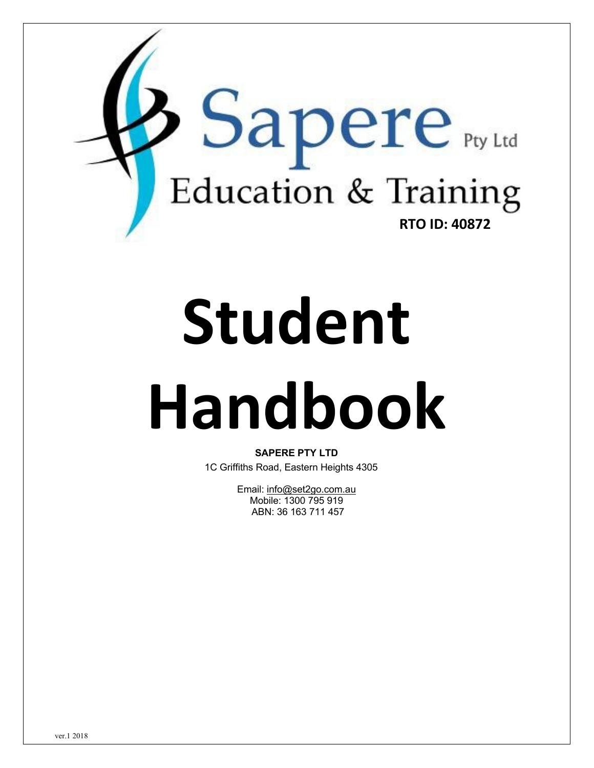

# **Student Handbook**

**SAPERE PTY LTD** 1C Griffiths Road, Eastern Heights 4305

> Email: info@set2go.com.au Mobile: 1300 795 919 ABN: 36 163 711 457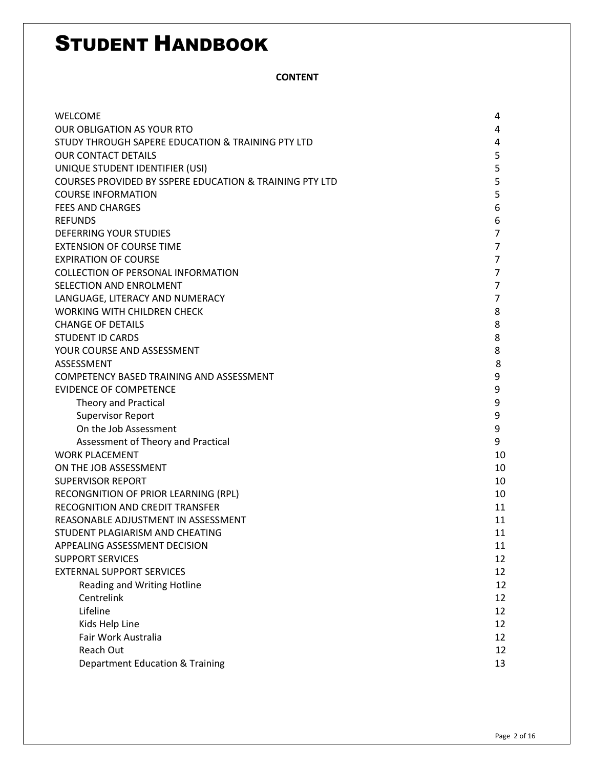**CONTENT**

| <b>WELCOME</b>                                                     | 4              |
|--------------------------------------------------------------------|----------------|
| <b>OUR OBLIGATION AS YOUR RTO</b>                                  | 4              |
| STUDY THROUGH SAPERE EDUCATION & TRAINING PTY LTD                  | 4              |
| <b>OUR CONTACT DETAILS</b>                                         | 5              |
| UNIQUE STUDENT IDENTIFIER (USI)                                    | 5              |
| <b>COURSES PROVIDED BY SSPERE EDUCATION &amp; TRAINING PTY LTD</b> | 5              |
| <b>COURSE INFORMATION</b>                                          | 5              |
| <b>FEES AND CHARGES</b>                                            | 6              |
| <b>REFUNDS</b>                                                     | 6              |
| DEFERRING YOUR STUDIES                                             | $\overline{7}$ |
| <b>EXTENSION OF COURSE TIME</b>                                    | $\overline{7}$ |
| <b>EXPIRATION OF COURSE</b>                                        | $\overline{7}$ |
| <b>COLLECTION OF PERSONAL INFORMATION</b>                          | 7              |
| SELECTION AND ENROLMENT                                            | $\overline{7}$ |
| LANGUAGE, LITERACY AND NUMERACY                                    | $\overline{7}$ |
| WORKING WITH CHILDREN CHECK                                        | 8              |
| <b>CHANGE OF DETAILS</b>                                           | 8              |
| <b>STUDENT ID CARDS</b>                                            | 8              |
| YOUR COURSE AND ASSESSMENT                                         | 8              |
| ASSESSMENT                                                         | 8              |
| COMPETENCY BASED TRAINING AND ASSESSMENT                           | 9              |
| <b>EVIDENCE OF COMPETENCE</b>                                      | 9              |
| <b>Theory and Practical</b>                                        | 9              |
| <b>Supervisor Report</b>                                           | 9              |
| On the Job Assessment                                              | 9              |
| Assessment of Theory and Practical                                 | 9              |
| <b>WORK PLACEMENT</b>                                              | 10             |
| ON THE JOB ASSESSMENT                                              | 10             |
| <b>SUPERVISOR REPORT</b>                                           | 10             |
| RECONGNITION OF PRIOR LEARNING (RPL)                               | 10             |
| RECOGNITION AND CREDIT TRANSFER                                    | 11             |
| REASONABLE ADJUSTMENT IN ASSESSMENT                                | 11             |
| STUDENT PLAGIARISM AND CHEATING                                    | 11             |
| APPEALING ASSESSMENT DECISION                                      | 11             |
| <b>SUPPORT SERVICES</b>                                            | 12             |
| <b>EXTERNAL SUPPORT SERVICES</b>                                   | 12             |
| Reading and Writing Hotline                                        | 12             |
| Centrelink                                                         | 12             |
| Lifeline                                                           | 12             |
| Kids Help Line                                                     | 12             |
| Fair Work Australia                                                | 12             |
| Reach Out                                                          | 12             |
| <b>Department Education &amp; Training</b>                         | 13             |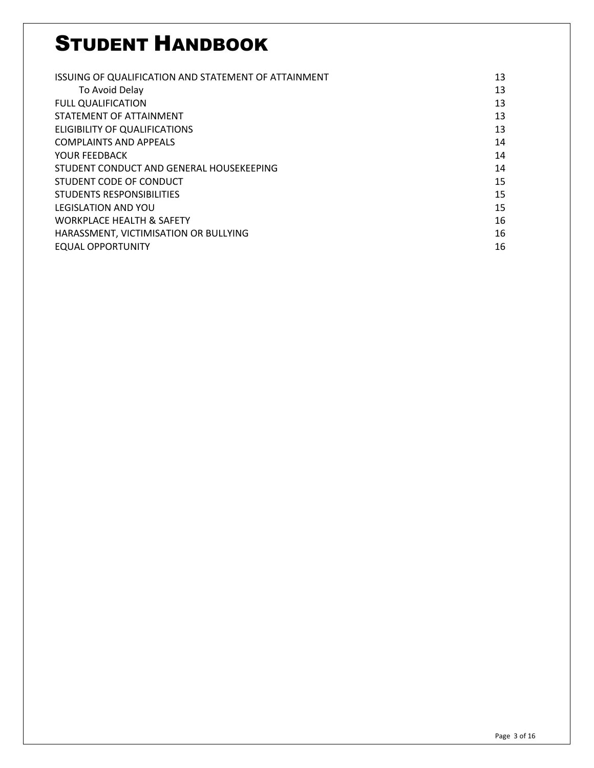| ISSUING OF QUALIFICATION AND STATEMENT OF ATTAINMENT | 13 |
|------------------------------------------------------|----|
| To Avoid Delay                                       | 13 |
| <b>FULL QUALIFICATION</b>                            | 13 |
| STATEMENT OF ATTAINMENT                              | 13 |
| ELIGIBILITY OF QUALIFICATIONS                        | 13 |
| <b>COMPLAINTS AND APPEALS</b>                        | 14 |
| YOUR FEEDBACK                                        | 14 |
| STUDENT CONDUCT AND GENERAL HOUSEKEEPING             | 14 |
| STUDENT CODE OF CONDUCT                              | 15 |
| STUDENTS RESPONSIBILITIES                            | 15 |
| <b>LEGISLATION AND YOU</b>                           | 15 |
| <b>WORKPLACE HEALTH &amp; SAFETY</b>                 | 16 |
| HARASSMENT, VICTIMISATION OR BULLYING                | 16 |
| EQUAL OPPORTUNITY                                    | 16 |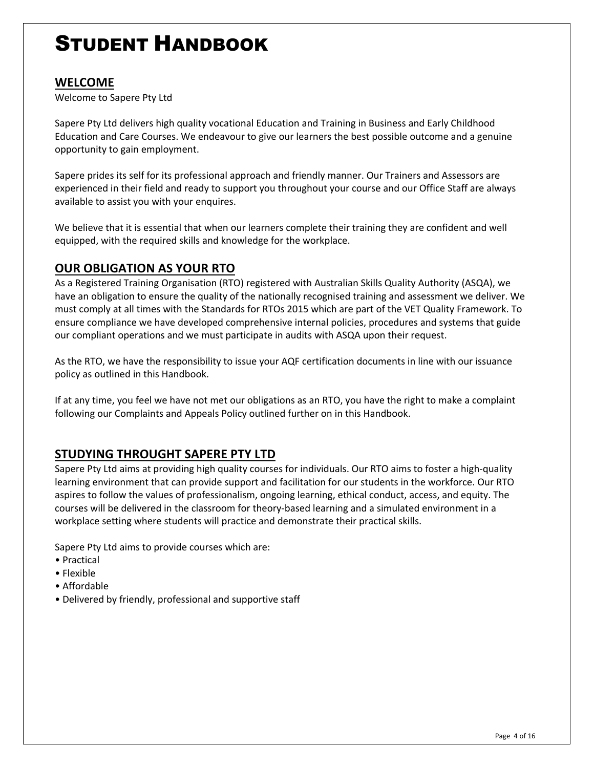#### **WELCOME**

Welcome to Sapere Pty Ltd

Sapere Pty Ltd delivers high quality vocational Education and Training in Business and Early Childhood Education and Care Courses. We endeavour to give our learners the best possible outcome and a genuine opportunity to gain employment.

Sapere prides its self for its professional approach and friendly manner. Our Trainers and Assessors are experienced in their field and ready to support you throughout your course and our Office Staff are always available to assist you with your enquires.

We believe that it is essential that when our learners complete their training they are confident and well equipped, with the required skills and knowledge for the workplace.

#### **OUR OBLIGATION AS YOUR RTO**

As a Registered Training Organisation (RTO) registered with Australian Skills Quality Authority (ASQA), we have an obligation to ensure the quality of the nationally recognised training and assessment we deliver. We must comply at all times with the Standards for RTOs 2015 which are part of the VET Quality Framework. To ensure compliance we have developed comprehensive internal policies, procedures and systems that guide our compliant operations and we must participate in audits with ASQA upon their request.

As the RTO, we have the responsibility to issue your AQF certification documents in line with our issuance policy as outlined in this Handbook.

If at any time, you feel we have not met our obligations as an RTO, you have the right to make a complaint following our Complaints and Appeals Policy outlined further on in this Handbook.

#### **STUDYING THROUGHT SAPERE PTY LTD**

Sapere Pty Ltd aims at providing high quality courses for individuals. Our RTO aims to foster a high-quality learning environment that can provide support and facilitation for our students in the workforce. Our RTO aspires to follow the values of professionalism, ongoing learning, ethical conduct, access, and equity. The courses will be delivered in the classroom for theory-based learning and a simulated environment in a workplace setting where students will practice and demonstrate their practical skills.

Sapere Pty Ltd aims to provide courses which are:

- Practical
- Flexible
- Affordable
- Delivered by friendly, professional and supportive staff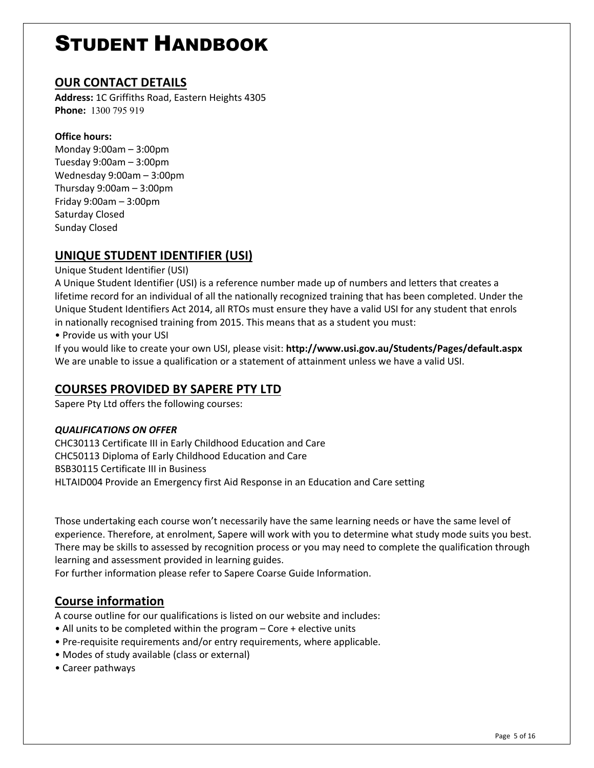#### **OUR CONTACT DETAILS**

**Address:** 1C Griffiths Road, Eastern Heights 4305 **Phone:** 1300 795 919

#### **Office hours:**

Monday 9:00am – 3:00pm Tuesday 9:00am – 3:00pm Wednesday 9:00am – 3:00pm Thursday 9:00am – 3:00pm Friday 9:00am – 3:00pm Saturday Closed Sunday Closed

#### **UNIQUE STUDENT IDENTIFIER (USI)**

#### Unique Student Identifier (USI)

A Unique Student Identifier (USI) is a reference number made up of numbers and letters that creates a lifetime record for an individual of all the nationally recognized training that has been completed. Under the Unique Student Identifiers Act 2014, all RTOs must ensure they have a valid USI for any student that enrols in nationally recognised training from 2015. This means that as a student you must:

• Provide us with your USI

If you would like to create your own USI, please visit: **http://www.usi.gov.au/Students/Pages/default.aspx** We are unable to issue a qualification or a statement of attainment unless we have a valid USI.

#### **COURSES PROVIDED BY SAPERE PTY LTD**

Sapere Pty Ltd offers the following courses:

#### *QUALIFICATIONS ON OFFER*

CHC30113 Certificate III in Early Childhood Education and Care CHC50113 Diploma of Early Childhood Education and Care BSB30115 Certificate III in Business HLTAID004 Provide an Emergency first Aid Response in an Education and Care setting

Those undertaking each course won't necessarily have the same learning needs or have the same level of experience. Therefore, at enrolment, Sapere will work with you to determine what study mode suits you best. There may be skills to assessed by recognition process or you may need to complete the qualification through learning and assessment provided in learning guides.

For further information please refer to Sapere Coarse Guide Information.

#### **Course information**

A course outline for our qualifications is listed on our website and includes:

- All units to be completed within the program Core + elective units
- Pre-requisite requirements and/or entry requirements, where applicable.
- Modes of study available (class or external)
- Career pathways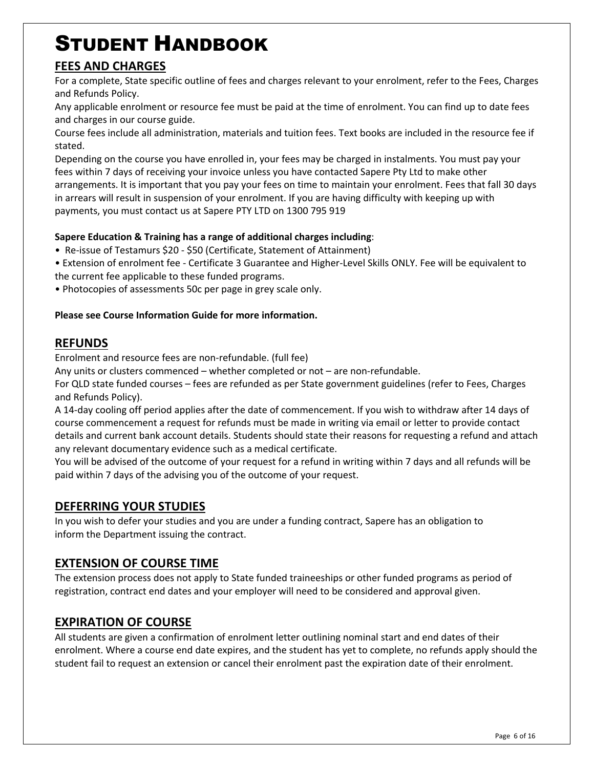#### **FEES AND CHARGES**

For a complete, State specific outline of fees and charges relevant to your enrolment, refer to the Fees, Charges and Refunds Policy.

Any applicable enrolment or resource fee must be paid at the time of enrolment. You can find up to date fees and charges in our course guide.

Course fees include all administration, materials and tuition fees. Text books are included in the resource fee if stated.

Depending on the course you have enrolled in, your fees may be charged in instalments. You must pay your fees within 7 days of receiving your invoice unless you have contacted Sapere Pty Ltd to make other arrangements. It is important that you pay your fees on time to maintain your enrolment. Fees that fall 30 days in arrears will result in suspension of your enrolment. If you are having difficulty with keeping up with payments, you must contact us at Sapere PTY LTD on 1300 795 919

#### **Sapere Education & Training has a range of additional charges including**:

- Re-issue of Testamurs \$20 \$50 (Certificate, Statement of Attainment)
- Extension of enrolment fee Certificate 3 Guarantee and Higher-Level Skills ONLY. Fee will be equivalent to the current fee applicable to these funded programs.
- Photocopies of assessments 50c per page in grey scale only.

#### **Please see Course Information Guide for more information.**

#### **REFUNDS**

Enrolment and resource fees are non-refundable. (full fee)

Any units or clusters commenced – whether completed or not – are non-refundable.

For QLD state funded courses – fees are refunded as per State government guidelines (refer to Fees, Charges and Refunds Policy).

A 14-day cooling off period applies after the date of commencement. If you wish to withdraw after 14 days of course commencement a request for refunds must be made in writing via email or letter to provide contact details and current bank account details. Students should state their reasons for requesting a refund and attach any relevant documentary evidence such as a medical certificate.

You will be advised of the outcome of your request for a refund in writing within 7 days and all refunds will be paid within 7 days of the advising you of the outcome of your request.

#### **DEFERRING YOUR STUDIES**

In you wish to defer your studies and you are under a funding contract, Sapere has an obligation to inform the Department issuing the contract.

#### **EXTENSION OF COURSE TIME**

The extension process does not apply to State funded traineeships or other funded programs as period of registration, contract end dates and your employer will need to be considered and approval given.

#### **EXPIRATION OF COURSE**

All students are given a confirmation of enrolment letter outlining nominal start and end dates of their enrolment. Where a course end date expires, and the student has yet to complete, no refunds apply should the student fail to request an extension or cancel their enrolment past the expiration date of their enrolment.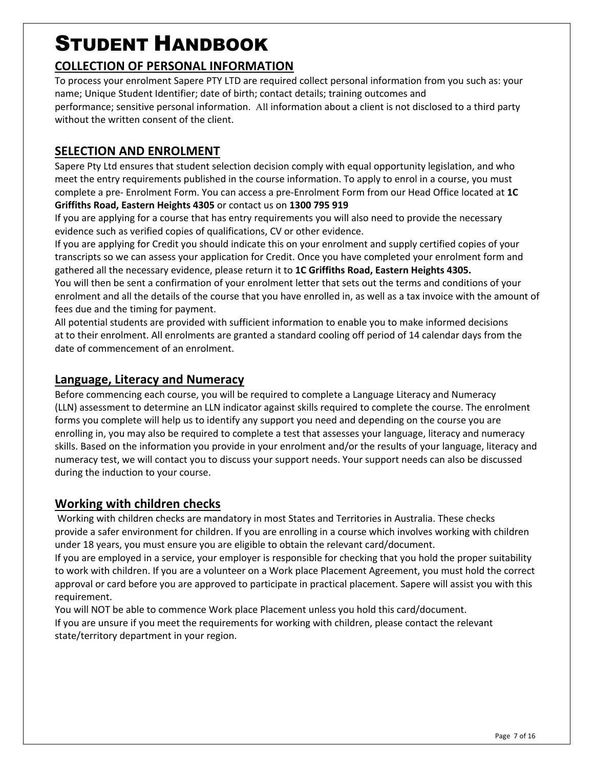#### **COLLECTION OF PERSONAL INFORMATION**

To process your enrolment Sapere PTY LTD are required collect personal information from you such as: your name; Unique Student Identifier; date of birth; contact details; training outcomes and performance; sensitive personal information. All information about a client is not disclosed to a third party without the written consent of the client.

#### **SELECTION AND ENROLMENT**

Sapere Pty Ltd ensures that student selection decision comply with equal opportunity legislation, and who meet the entry requirements published in the course information. To apply to enrol in a course, you must complete a pre- Enrolment Form. You can access a pre-Enrolment Form from our Head Office located at **1C Griffiths Road, Eastern Heights 4305** or contact us on **1300 795 919**

If you are applying for a course that has entry requirements you will also need to provide the necessary evidence such as verified copies of qualifications, CV or other evidence.

If you are applying for Credit you should indicate this on your enrolment and supply certified copies of your transcripts so we can assess your application for Credit. Once you have completed your enrolment form and gathered all the necessary evidence, please return it to **1C Griffiths Road, Eastern Heights 4305.** You will then be sent a confirmation of your enrolment letter that sets out the terms and conditions of your enrolment and all the details of the course that you have enrolled in, as well as a tax invoice with the amount of fees due and the timing for payment.

All potential students are provided with sufficient information to enable you to make informed decisions at to their enrolment. All enrolments are granted a standard cooling off period of 14 calendar days from the date of commencement of an enrolment.

#### **Language, Literacy and Numeracy**

Before commencing each course, you will be required to complete a Language Literacy and Numeracy (LLN) assessment to determine an LLN indicator against skills required to complete the course. The enrolment forms you complete will help us to identify any support you need and depending on the course you are enrolling in, you may also be required to complete a test that assesses your language, literacy and numeracy skills. Based on the information you provide in your enrolment and/or the results of your language, literacy and numeracy test, we will contact you to discuss your support needs. Your support needs can also be discussed during the induction to your course.

#### **Working with children checks**

Working with children checks are mandatory in most States and Territories in Australia. These checks provide a safer environment for children. If you are enrolling in a course which involves working with children under 18 years, you must ensure you are eligible to obtain the relevant card/document.

If you are employed in a service, your employer is responsible for checking that you hold the proper suitability to work with children. If you are a volunteer on a Work place Placement Agreement, you must hold the correct approval or card before you are approved to participate in practical placement. Sapere will assist you with this requirement.

You will NOT be able to commence Work place Placement unless you hold this card/document. If you are unsure if you meet the requirements for working with children, please contact the relevant state/territory department in your region.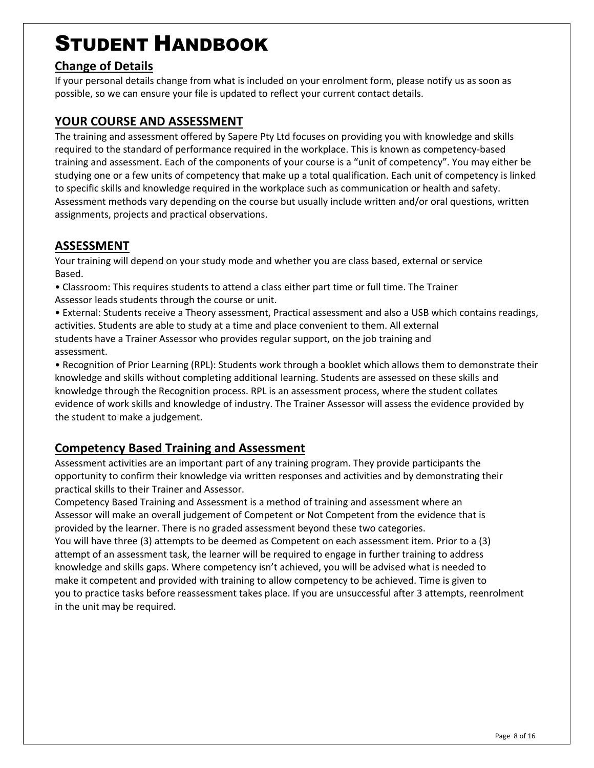#### **Change of Details**

If your personal details change from what is included on your enrolment form, please notify us as soon as possible, so we can ensure your file is updated to reflect your current contact details.

#### **YOUR COURSE AND ASSESSMENT**

The training and assessment offered by Sapere Pty Ltd focuses on providing you with knowledge and skills required to the standard of performance required in the workplace. This is known as competency-based training and assessment. Each of the components of your course is a "unit of competency". You may either be studying one or a few units of competency that make up a total qualification. Each unit of competency is linked to specific skills and knowledge required in the workplace such as communication or health and safety. Assessment methods vary depending on the course but usually include written and/or oral questions, written assignments, projects and practical observations.

#### **ASSESSMENT**

Your training will depend on your study mode and whether you are class based, external or service Based.

- Classroom: This requires students to attend a class either part time or full time. The Trainer Assessor leads students through the course or unit.
- External: Students receive a Theory assessment, Practical assessment and also a USB which contains readings, activities. Students are able to study at a time and place convenient to them. All external students have a Trainer Assessor who provides regular support, on the job training and assessment.

• Recognition of Prior Learning (RPL): Students work through a booklet which allows them to demonstrate their knowledge and skills without completing additional learning. Students are assessed on these skills and knowledge through the Recognition process. RPL is an assessment process, where the student collates evidence of work skills and knowledge of industry. The Trainer Assessor will assess the evidence provided by the student to make a judgement.

#### **Competency Based Training and Assessment**

Assessment activities are an important part of any training program. They provide participants the opportunity to confirm their knowledge via written responses and activities and by demonstrating their practical skills to their Trainer and Assessor.

Competency Based Training and Assessment is a method of training and assessment where an Assessor will make an overall judgement of Competent or Not Competent from the evidence that is provided by the learner. There is no graded assessment beyond these two categories.

You will have three (3) attempts to be deemed as Competent on each assessment item. Prior to a (3) attempt of an assessment task, the learner will be required to engage in further training to address knowledge and skills gaps. Where competency isn't achieved, you will be advised what is needed to make it competent and provided with training to allow competency to be achieved. Time is given to you to practice tasks before reassessment takes place. If you are unsuccessful after 3 attempts, reenrolment in the unit may be required.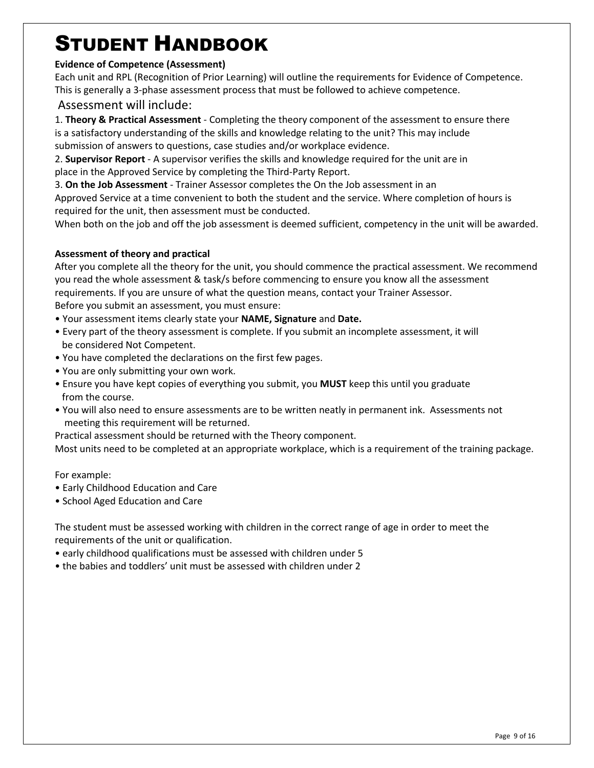#### **Evidence of Competence (Assessment)**

Each unit and RPL (Recognition of Prior Learning) will outline the requirements for Evidence of Competence. This is generally a 3-phase assessment process that must be followed to achieve competence.

#### Assessment will include:

1. **Theory & Practical Assessment** - Completing the theory component of the assessment to ensure there is a satisfactory understanding of the skills and knowledge relating to the unit? This may include submission of answers to questions, case studies and/or workplace evidence.

2. **Supervisor Report** - A supervisor verifies the skills and knowledge required for the unit are in place in the Approved Service by completing the Third-Party Report.

3. **On the Job Assessment** - Trainer Assessor completes the On the Job assessment in an

Approved Service at a time convenient to both the student and the service. Where completion of hours is required for the unit, then assessment must be conducted.

When both on the job and off the job assessment is deemed sufficient, competency in the unit will be awarded.

#### **Assessment of theory and practical**

After you complete all the theory for the unit, you should commence the practical assessment. We recommend you read the whole assessment & task/s before commencing to ensure you know all the assessment requirements. If you are unsure of what the question means, contact your Trainer Assessor. Before you submit an assessment, you must ensure:

- Your assessment items clearly state your **NAME, Signature** and **Date.**
- Every part of the theory assessment is complete. If you submit an incomplete assessment, it will be considered Not Competent.
- You have completed the declarations on the first few pages.
- You are only submitting your own work.
- Ensure you have kept copies of everything you submit, you **MUST** keep this until you graduate from the course.
- You will also need to ensure assessments are to be written neatly in permanent ink. Assessments not meeting this requirement will be returned.

Practical assessment should be returned with the Theory component.

Most units need to be completed at an appropriate workplace, which is a requirement of the training package.

#### For example:

- Early Childhood Education and Care
- School Aged Education and Care

The student must be assessed working with children in the correct range of age in order to meet the requirements of the unit or qualification.

- early childhood qualifications must be assessed with children under 5
- the babies and toddlers' unit must be assessed with children under 2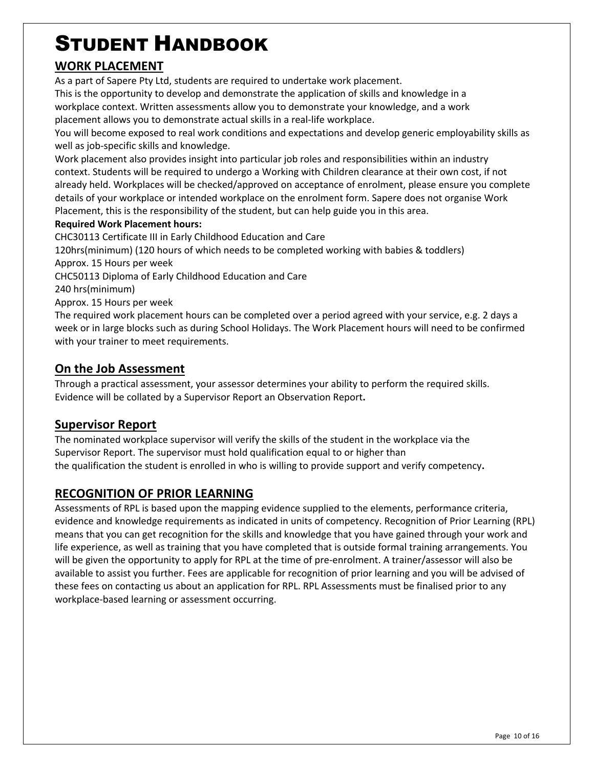#### **WORK PLACEMENT**

As a part of Sapere Pty Ltd, students are required to undertake work placement.

This is the opportunity to develop and demonstrate the application of skills and knowledge in a workplace context. Written assessments allow you to demonstrate your knowledge, and a work placement allows you to demonstrate actual skills in a real-life workplace.

You will become exposed to real work conditions and expectations and develop generic employability skills as well as job-specific skills and knowledge.

Work placement also provides insight into particular job roles and responsibilities within an industry context. Students will be required to undergo a Working with Children clearance at their own cost, if not already held. Workplaces will be checked/approved on acceptance of enrolment, please ensure you complete details of your workplace or intended workplace on the enrolment form. Sapere does not organise Work Placement, this is the responsibility of the student, but can help guide you in this area.

#### **Required Work Placement hours:**

CHC30113 Certificate III in Early Childhood Education and Care

120hrs(minimum) (120 hours of which needs to be completed working with babies & toddlers)

Approx. 15 Hours per week

CHC50113 Diploma of Early Childhood Education and Care

240 hrs(minimum)

Approx. 15 Hours per week

The required work placement hours can be completed over a period agreed with your service, e.g. 2 days a week or in large blocks such as during School Holidays. The Work Placement hours will need to be confirmed with your trainer to meet requirements.

#### **On the Job Assessment**

Through a practical assessment, your assessor determines your ability to perform the required skills. Evidence will be collated by a Supervisor Report an Observation Report**.**

#### **Supervisor Report**

The nominated workplace supervisor will verify the skills of the student in the workplace via the Supervisor Report. The supervisor must hold qualification equal to or higher than the qualification the student is enrolled in who is willing to provide support and verify competency**.**

#### **RECOGNITION OF PRIOR LEARNING**

Assessments of RPL is based upon the mapping evidence supplied to the elements, performance criteria, evidence and knowledge requirements as indicated in units of competency. Recognition of Prior Learning (RPL) means that you can get recognition for the skills and knowledge that you have gained through your work and life experience, as well as training that you have completed that is outside formal training arrangements. You will be given the opportunity to apply for RPL at the time of pre-enrolment. A trainer/assessor will also be available to assist you further. Fees are applicable for recognition of prior learning and you will be advised of these fees on contacting us about an application for RPL. RPL Assessments must be finalised prior to any workplace-based learning or assessment occurring.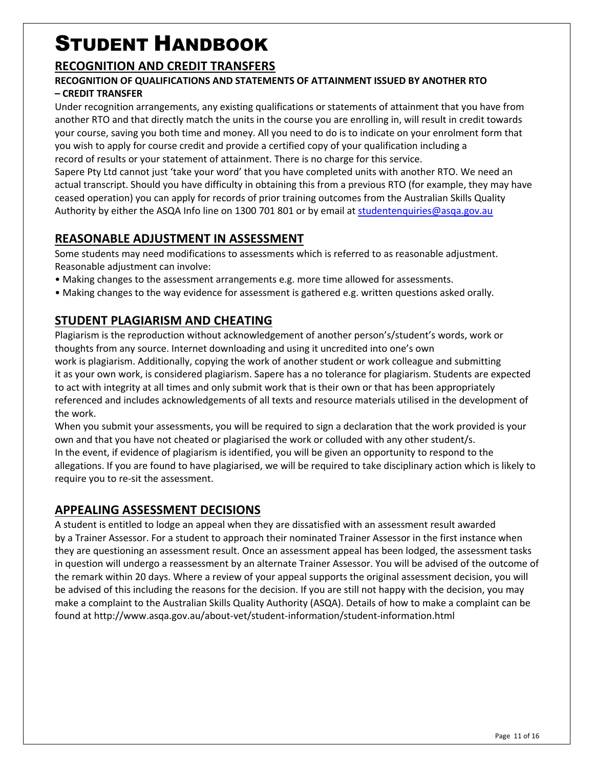#### **RECOGNITION AND CREDIT TRANSFERS**

#### **RECOGNITION OF QUALIFICATIONS AND STATEMENTS OF ATTAINMENT ISSUED BY ANOTHER RTO – CREDIT TRANSFER**

Under recognition arrangements, any existing qualifications or statements of attainment that you have from another RTO and that directly match the units in the course you are enrolling in, will result in credit towards your course, saving you both time and money. All you need to do is to indicate on your enrolment form that you wish to apply for course credit and provide a certified copy of your qualification including a record of results or your statement of attainment. There is no charge for this service.

Sapere Pty Ltd cannot just 'take your word' that you have completed units with another RTO. We need an actual transcript. Should you have difficulty in obtaining this from a previous RTO (for example, they may have ceased operation) you can apply for records of prior training outcomes from the Australian Skills Quality Authority by either the ASQA Info line on 1300 701 801 or by email at studentenquiries@asqa.gov.au

#### **REASONABLE ADJUSTMENT IN ASSESSMENT**

Some students may need modifications to assessments which is referred to as reasonable adjustment. Reasonable adjustment can involve:

• Making changes to the assessment arrangements e.g. more time allowed for assessments.

• Making changes to the way evidence for assessment is gathered e.g. written questions asked orally.

#### **STUDENT PLAGIARISM AND CHEATING**

Plagiarism is the reproduction without acknowledgement of another person's/student's words, work or thoughts from any source. Internet downloading and using it uncredited into one's own work is plagiarism. Additionally, copying the work of another student or work colleague and submitting it as your own work, is considered plagiarism. Sapere has a no tolerance for plagiarism. Students are expected to act with integrity at all times and only submit work that is their own or that has been appropriately referenced and includes acknowledgements of all texts and resource materials utilised in the development of the work.

When you submit your assessments, you will be required to sign a declaration that the work provided is your own and that you have not cheated or plagiarised the work or colluded with any other student/s. In the event, if evidence of plagiarism is identified, you will be given an opportunity to respond to the allegations. If you are found to have plagiarised, we will be required to take disciplinary action which is likely to require you to re-sit the assessment.

#### **APPEALING ASSESSMENT DECISIONS**

A student is entitled to lodge an appeal when they are dissatisfied with an assessment result awarded by a Trainer Assessor. For a student to approach their nominated Trainer Assessor in the first instance when they are questioning an assessment result. Once an assessment appeal has been lodged, the assessment tasks in question will undergo a reassessment by an alternate Trainer Assessor. You will be advised of the outcome of the remark within 20 days. Where a review of your appeal supports the original assessment decision, you will be advised of this including the reasons for the decision. If you are still not happy with the decision, you may make a complaint to the Australian Skills Quality Authority (ASQA). Details of how to make a complaint can be found at http://www.asqa.gov.au/about-vet/student-information/student-information.html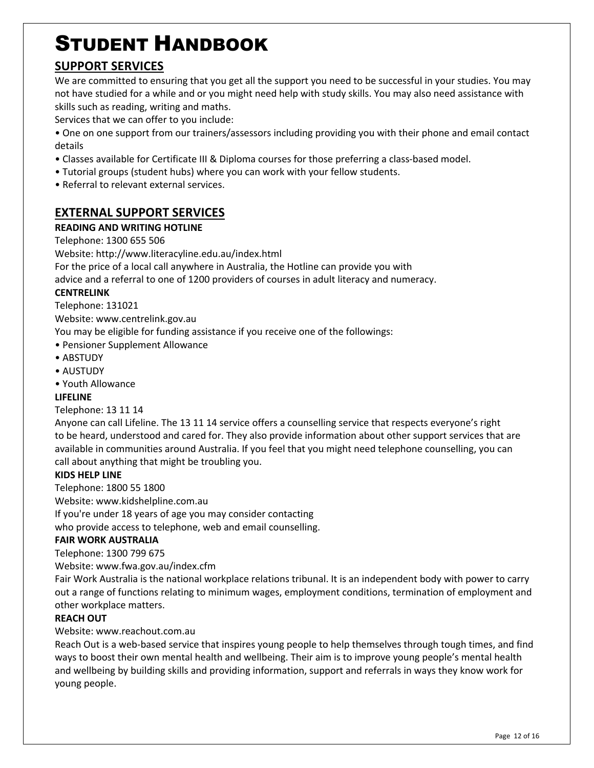#### **SUPPORT SERVICES**

We are committed to ensuring that you get all the support you need to be successful in your studies. You may not have studied for a while and or you might need help with study skills. You may also need assistance with skills such as reading, writing and maths.

Services that we can offer to you include:

- One on one support from our trainers/assessors including providing you with their phone and email contact details
- Classes available for Certificate III & Diploma courses for those preferring a class-based model.
- Tutorial groups (student hubs) where you can work with your fellow students.
- Referral to relevant external services.

#### **EXTERNAL SUPPORT SERVICES**

#### **READING AND WRITING HOTLINE**

Telephone: 1300 655 506

Website: http://www.literacyline.edu.au/index.html

For the price of a local call anywhere in Australia, the Hotline can provide you with

advice and a referral to one of 1200 providers of courses in adult literacy and numeracy.

#### **CENTRELINK**

Telephone: 131021

Website: www.centrelink.gov.au

You may be eligible for funding assistance if you receive one of the followings:

- Pensioner Supplement Allowance
- ABSTUDY
- AUSTUDY
- Youth Allowance

#### **LIFELINE**

#### Telephone: 13 11 14

Anyone can call Lifeline. The 13 11 14 service offers a counselling service that respects everyone's right to be heard, understood and cared for. They also provide information about other support services that are available in communities around Australia. If you feel that you might need telephone counselling, you can call about anything that might be troubling you.

#### **KIDS HELP LINE**

Telephone: 1800 55 1800

Website: www.kidshelpline.com.au

If you're under 18 years of age you may consider contacting

who provide access to telephone, web and email counselling.

#### **FAIR WORK AUSTRALIA**

Telephone: 1300 799 675

Website: www.fwa.gov.au/index.cfm

Fair Work Australia is the national workplace relations tribunal. It is an independent body with power to carry out a range of functions relating to minimum wages, employment conditions, termination of employment and other workplace matters.

#### **REACH OUT**

Website: www.reachout.com.au

Reach Out is a web-based service that inspires young people to help themselves through tough times, and find ways to boost their own mental health and wellbeing. Their aim is to improve young people's mental health and wellbeing by building skills and providing information, support and referrals in ways they know work for young people.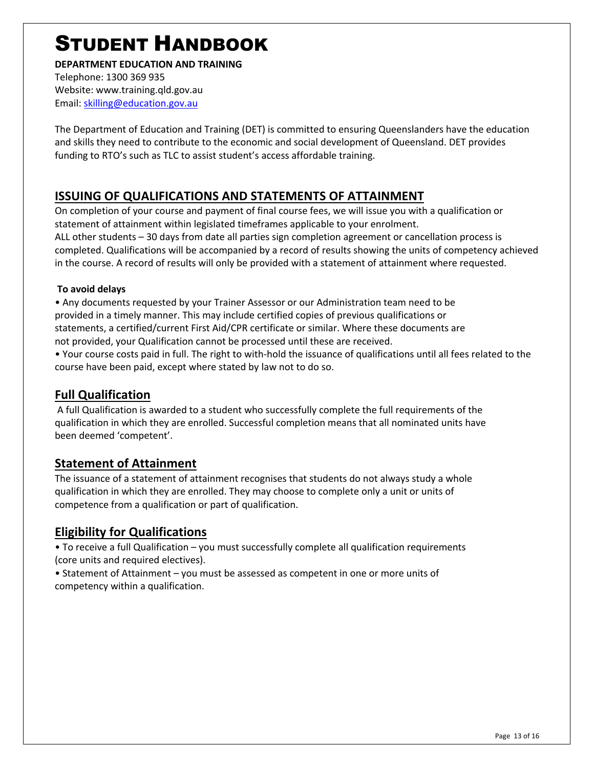#### **DEPARTMENT EDUCATION AND TRAINING**

Telephone: 1300 369 935 Website: www.training.qld.gov.au Email: skilling@education.gov.au

The Department of Education and Training (DET) is committed to ensuring Queenslanders have the education and skills they need to contribute to the economic and social development of Queensland. DET provides funding to RTO's such as TLC to assist student's access affordable training.

#### **ISSUING OF QUALIFICATIONS AND STATEMENTS OF ATTAINMENT**

On completion of your course and payment of final course fees, we will issue you with a qualification or statement of attainment within legislated timeframes applicable to your enrolment. ALL other students – 30 days from date all parties sign completion agreement or cancellation process is completed. Qualifications will be accompanied by a record of results showing the units of competency achieved in the course. A record of results will only be provided with a statement of attainment where requested.

#### **To avoid delays**

• Any documents requested by your Trainer Assessor or our Administration team need to be provided in a timely manner. This may include certified copies of previous qualifications or statements, a certified/current First Aid/CPR certificate or similar. Where these documents are not provided, your Qualification cannot be processed until these are received.

• Your course costs paid in full. The right to with-hold the issuance of qualifications until all fees related to the course have been paid, except where stated by law not to do so.

#### **Full Qualification**

A full Qualification is awarded to a student who successfully complete the full requirements of the qualification in which they are enrolled. Successful completion means that all nominated units have been deemed 'competent'.

#### **Statement of Attainment**

The issuance of a statement of attainment recognises that students do not always study a whole qualification in which they are enrolled. They may choose to complete only a unit or units of competence from a qualification or part of qualification.

#### **Eligibility for Qualifications**

• To receive a full Qualification – you must successfully complete all qualification requirements (core units and required electives).

• Statement of Attainment – you must be assessed as competent in one or more units of competency within a qualification.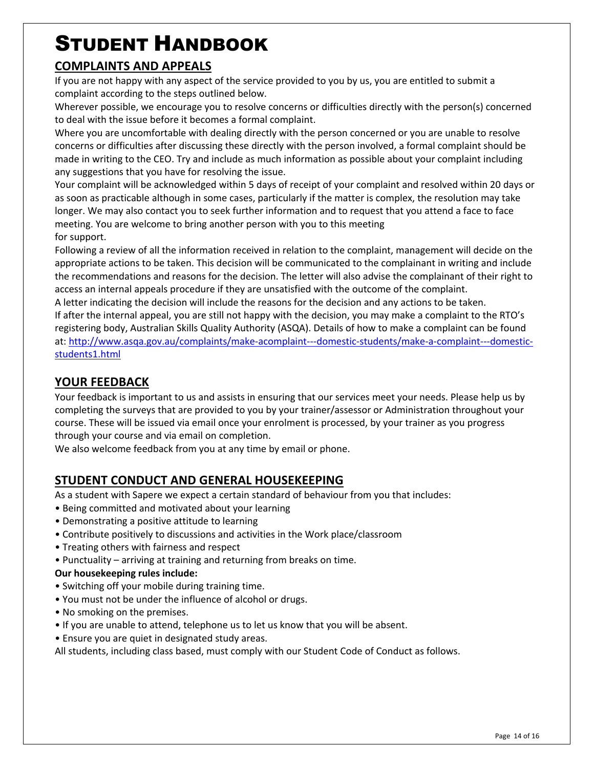#### **COMPLAINTS AND APPEALS**

If you are not happy with any aspect of the service provided to you by us, you are entitled to submit a complaint according to the steps outlined below.

Wherever possible, we encourage you to resolve concerns or difficulties directly with the person(s) concerned to deal with the issue before it becomes a formal complaint.

Where you are uncomfortable with dealing directly with the person concerned or you are unable to resolve concerns or difficulties after discussing these directly with the person involved, a formal complaint should be made in writing to the CEO. Try and include as much information as possible about your complaint including any suggestions that you have for resolving the issue.

Your complaint will be acknowledged within 5 days of receipt of your complaint and resolved within 20 days or as soon as practicable although in some cases, particularly if the matter is complex, the resolution may take longer. We may also contact you to seek further information and to request that you attend a face to face meeting. You are welcome to bring another person with you to this meeting for support.

Following a review of all the information received in relation to the complaint, management will decide on the appropriate actions to be taken. This decision will be communicated to the complainant in writing and include the recommendations and reasons for the decision. The letter will also advise the complainant of their right to access an internal appeals procedure if they are unsatisfied with the outcome of the complaint.

A letter indicating the decision will include the reasons for the decision and any actions to be taken. If after the internal appeal, you are still not happy with the decision, you may make a complaint to the RTO's registering body, Australian Skills Quality Authority (ASQA). Details of how to make a complaint can be found at: http://www.asqa.gov.au/complaints/make-acomplaint---domestic-students/make-a-complaint---domesticstudents1.html

#### **YOUR FEEDBACK**

Your feedback is important to us and assists in ensuring that our services meet your needs. Please help us by completing the surveys that are provided to you by your trainer/assessor or Administration throughout your course. These will be issued via email once your enrolment is processed, by your trainer as you progress through your course and via email on completion.

We also welcome feedback from you at any time by email or phone.

#### **STUDENT CONDUCT AND GENERAL HOUSEKEEPING**

As a student with Sapere we expect a certain standard of behaviour from you that includes:

- Being committed and motivated about your learning
- Demonstrating a positive attitude to learning
- Contribute positively to discussions and activities in the Work place/classroom
- Treating others with fairness and respect
- Punctuality arriving at training and returning from breaks on time.

#### **Our housekeeping rules include:**

- Switching off your mobile during training time.
- You must not be under the influence of alcohol or drugs.
- No smoking on the premises.
- If you are unable to attend, telephone us to let us know that you will be absent.
- Ensure you are quiet in designated study areas.

All students, including class based, must comply with our Student Code of Conduct as follows.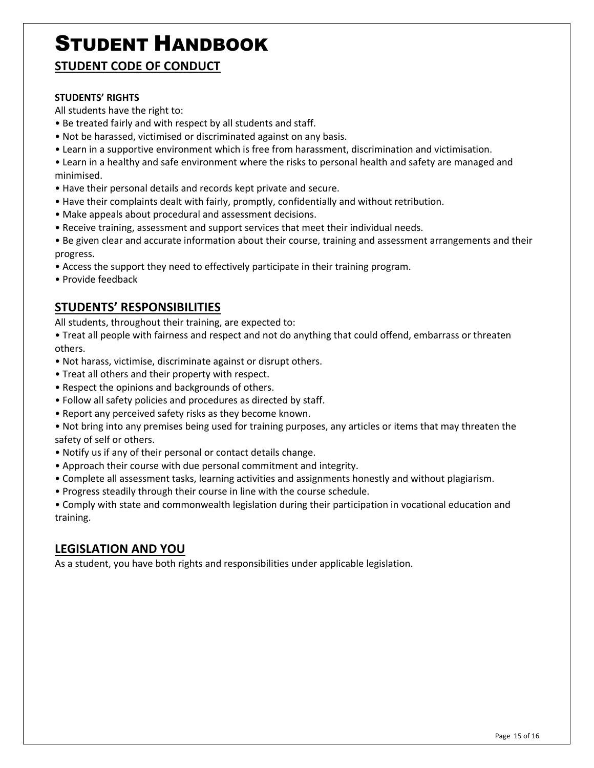**STUDENT CODE OF CONDUCT**

#### **STUDENTS' RIGHTS**

All students have the right to:

- Be treated fairly and with respect by all students and staff.
- Not be harassed, victimised or discriminated against on any basis.
- Learn in a supportive environment which is free from harassment, discrimination and victimisation.
- Learn in a healthy and safe environment where the risks to personal health and safety are managed and minimised.
- Have their personal details and records kept private and secure.
- Have their complaints dealt with fairly, promptly, confidentially and without retribution.
- Make appeals about procedural and assessment decisions.
- Receive training, assessment and support services that meet their individual needs.
- Be given clear and accurate information about their course, training and assessment arrangements and their progress.
- Access the support they need to effectively participate in their training program.
- Provide feedback

#### **STUDENTS' RESPONSIBILITIES**

All students, throughout their training, are expected to:

• Treat all people with fairness and respect and not do anything that could offend, embarrass or threaten others.

- Not harass, victimise, discriminate against or disrupt others.
- Treat all others and their property with respect.
- Respect the opinions and backgrounds of others.
- Follow all safety policies and procedures as directed by staff.
- Report any perceived safety risks as they become known.

• Not bring into any premises being used for training purposes, any articles or items that may threaten the safety of self or others.

- Notify us if any of their personal or contact details change.
- Approach their course with due personal commitment and integrity.
- Complete all assessment tasks, learning activities and assignments honestly and without plagiarism.
- Progress steadily through their course in line with the course schedule.

• Comply with state and commonwealth legislation during their participation in vocational education and training.

#### **LEGISLATION AND YOU**

As a student, you have both rights and responsibilities under applicable legislation.